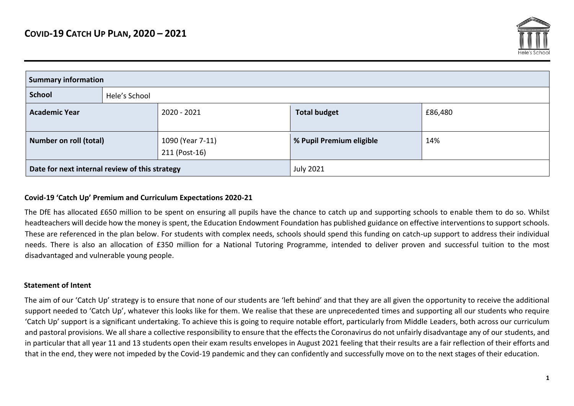

| <b>Summary information</b>                     |               |                                   |                                |     |  |  |
|------------------------------------------------|---------------|-----------------------------------|--------------------------------|-----|--|--|
| <b>School</b>                                  | Hele's School |                                   |                                |     |  |  |
| <b>Academic Year</b>                           |               | 2020 - 2021                       | <b>Total budget</b><br>£86,480 |     |  |  |
| <b>Number on roll (total)</b>                  |               | 1090 (Year 7-11)<br>211 (Post-16) | % Pupil Premium eligible       | 14% |  |  |
| Date for next internal review of this strategy |               | <b>July 2021</b>                  |                                |     |  |  |

#### **Covid-19 'Catch Up' Premium and Curriculum Expectations 2020-21**

The DfE has allocated £650 million to be spent on ensuring all pupils have the chance to catch up and supporting schools to enable them to do so. Whilst headteachers will decide how the money is spent, the Education Endowment Foundation has published guidance on effective interventions to support schools. These are referenced in the plan below. For students with complex needs, schools should spend this funding on catch-up support to address their individual needs. There is also an allocation of £350 million for a National Tutoring Programme, intended to deliver proven and successful tuition to the most disadvantaged and vulnerable young people.

## **Statement of Intent**

The aim of our 'Catch Up' strategy is to ensure that none of our students are 'left behind' and that they are all given the opportunity to receive the additional support needed to 'Catch Up', whatever this looks like for them. We realise that these are unprecedented times and supporting all our students who require 'Catch Up' support is a significant undertaking. To achieve this is going to require notable effort, particularly from Middle Leaders, both across our curriculum and pastoral provisions. We all share a collective responsibility to ensure that the effects the Coronavirus do not unfairly disadvantage any of our students, and in particular that all year 11 and 13 students open their exam results envelopes in August 2021 feeling that their results are a fair reflection of their efforts and that in the end, they were not impeded by the Covid-19 pandemic and they can confidently and successfully move on to the next stages of their education.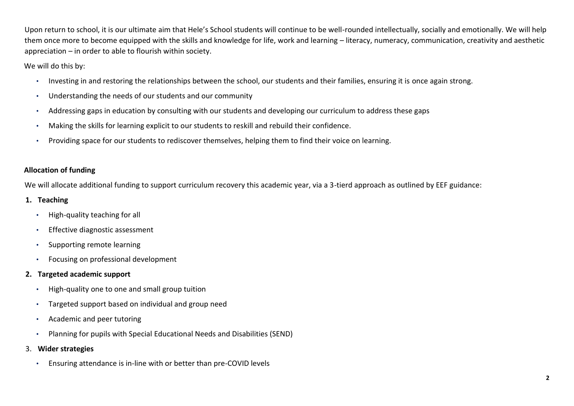Upon return to school, it is our ultimate aim that Hele's School students will continue to be well-rounded intellectually, socially and emotionally. We will help them once more to become equipped with the skills and knowledge for life, work and learning – literacy, numeracy, communication, creativity and aesthetic appreciation – in order to able to flourish within society.

We will do this by:

- Investing in and restoring the relationships between the school, our students and their families, ensuring it is once again strong.
- Understanding the needs of our students and our community
- Addressing gaps in education by consulting with our students and developing our curriculum to address these gaps
- Making the skills for learning explicit to our students to reskill and rebuild their confidence.
- Providing space for our students to rediscover themselves, helping them to find their voice on learning.

# **Allocation of funding**

We will allocate additional funding to support curriculum recovery this academic year, via a 3-tierd approach as outlined by EEF guidance:

# **1. Teaching**

- High-quality teaching for all
- Effective diagnostic assessment
- Supporting remote learning
- Focusing on professional development

# **2. Targeted academic support**

- High-quality one to one and small group tuition
- Targeted support based on individual and group need
- Academic and peer tutoring
- Planning for pupils with Special Educational Needs and Disabilities (SEND)
- 3. **Wider strategies** 
	- Ensuring attendance is in-line with or better than pre-COVID levels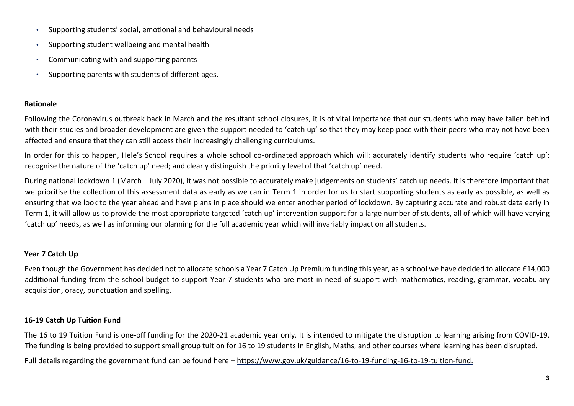- Supporting students' social, emotional and behavioural needs
- Supporting student wellbeing and mental health
- Communicating with and supporting parents
- Supporting parents with students of different ages.

## **Rationale**

Following the Coronavirus outbreak back in March and the resultant school closures, it is of vital importance that our students who may have fallen behind with their studies and broader development are given the support needed to 'catch up' so that they may keep pace with their peers who may not have been affected and ensure that they can still access their increasingly challenging curriculums.

In order for this to happen, Hele's School requires a whole school co-ordinated approach which will: accurately identify students who require 'catch up'; recognise the nature of the 'catch up' need; and clearly distinguish the priority level of that 'catch up' need.

During national lockdown 1 (March – July 2020), it was not possible to accurately make judgements on students' catch up needs. It is therefore important that we prioritise the collection of this assessment data as early as we can in Term 1 in order for us to start supporting students as early as possible, as well as ensuring that we look to the year ahead and have plans in place should we enter another period of lockdown. By capturing accurate and robust data early in Term 1, it will allow us to provide the most appropriate targeted 'catch up' intervention support for a large number of students, all of which will have varying 'catch up' needs, as well as informing our planning for the full academic year which will invariably impact on all students.

# **Year 7 Catch Up**

Even though the Government has decided not to allocate schools a Year 7 Catch Up Premium funding this year, as a school we have decided to allocate £14,000 additional funding from the school budget to support Year 7 students who are most in need of support with mathematics, reading, grammar, vocabulary acquisition, oracy, punctuation and spelling.

# **16-19 Catch Up Tuition Fund**

The 16 to 19 Tuition Fund is one-off funding for the 2020-21 academic year only. It is intended to mitigate the disruption to learning arising from COVID-19. The funding is being provided to support small group tuition for 16 to 19 students in English, Maths, and other courses where learning has been disrupted. Full details regarding the government fund can be found here – [https://www.gov.uk/guidance/16-to-19-funding-16-to-19-tuition-fund.](https://www.gov.uk/guidance/16-to-19-funding-16-to-19-tuition-fund)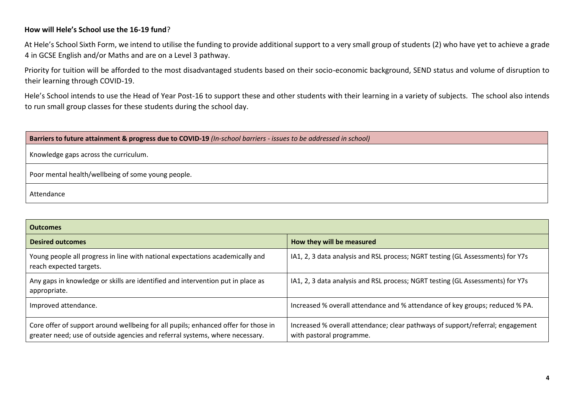## **How will Hele's School use the 16-19 fund**?

At Hele's School Sixth Form, we intend to utilise the funding to provide additional support to a very small group of students (2) who have yet to achieve a grade 4 in GCSE English and/or Maths and are on a Level 3 pathway.

Priority for tuition will be afforded to the most disadvantaged students based on their socio-economic background, SEND status and volume of disruption to their learning through COVID-19.

Hele's School intends to use the Head of Year Post-16 to support these and other students with their learning in a variety of subjects. The school also intends to run small group classes for these students during the school day.

| Barriers to future attainment & progress due to COVID-19 (In-school barriers - issues to be addressed in school) |  |  |  |  |  |
|------------------------------------------------------------------------------------------------------------------|--|--|--|--|--|
| Knowledge gaps across the curriculum.                                                                            |  |  |  |  |  |
| Poor mental health/wellbeing of some young people.                                                               |  |  |  |  |  |
| Attendance                                                                                                       |  |  |  |  |  |

| <b>Outcomes</b>                                                                                                                                                    |                                                                                                            |  |  |  |  |  |
|--------------------------------------------------------------------------------------------------------------------------------------------------------------------|------------------------------------------------------------------------------------------------------------|--|--|--|--|--|
| <b>Desired outcomes</b>                                                                                                                                            | How they will be measured                                                                                  |  |  |  |  |  |
| Young people all progress in line with national expectations academically and<br>reach expected targets.                                                           | IA1, 2, 3 data analysis and RSL process; NGRT testing (GL Assessments) for Y7s                             |  |  |  |  |  |
| Any gaps in knowledge or skills are identified and intervention put in place as<br>appropriate.                                                                    | IA1, 2, 3 data analysis and RSL process; NGRT testing (GL Assessments) for Y7s                             |  |  |  |  |  |
| Improved attendance.                                                                                                                                               | Increased % overall attendance and % attendance of key groups; reduced % PA.                               |  |  |  |  |  |
| Core offer of support around wellbeing for all pupils; enhanced offer for those in<br>greater need; use of outside agencies and referral systems, where necessary. | Increased % overall attendance; clear pathways of support/referral; engagement<br>with pastoral programme. |  |  |  |  |  |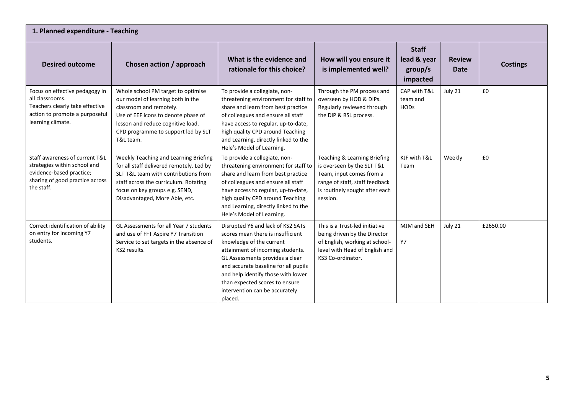| 1. Planned expenditure - Teaching                                                                                                           |                                                                                                                                                                                                                                        |                                                                                                                                                                                                                                                                                                                                        |                                                                                                                                                                        |                                                    |                              |                 |  |
|---------------------------------------------------------------------------------------------------------------------------------------------|----------------------------------------------------------------------------------------------------------------------------------------------------------------------------------------------------------------------------------------|----------------------------------------------------------------------------------------------------------------------------------------------------------------------------------------------------------------------------------------------------------------------------------------------------------------------------------------|------------------------------------------------------------------------------------------------------------------------------------------------------------------------|----------------------------------------------------|------------------------------|-----------------|--|
| <b>Desired outcome</b>                                                                                                                      | Chosen action / approach                                                                                                                                                                                                               | What is the evidence and<br>rationale for this choice?                                                                                                                                                                                                                                                                                 | How will you ensure it<br>is implemented well?                                                                                                                         | <b>Staff</b><br>lead & year<br>group/s<br>impacted | <b>Review</b><br><b>Date</b> | <b>Costings</b> |  |
| Focus on effective pedagogy in<br>all classrooms.<br>Teachers clearly take effective<br>action to promote a purposeful<br>learning climate. | Whole school PM target to optimise<br>our model of learning both in the<br>classroom and remotely.<br>Use of EEF icons to denote phase of<br>lesson and reduce cognitive load.<br>CPD programme to support led by SLT<br>T&L team.     | To provide a collegiate, non-<br>threatening environment for staff to<br>share and learn from best practice<br>of colleagues and ensure all staff<br>have access to regular, up-to-date,<br>high quality CPD around Teaching<br>and Learning, directly linked to the<br>Hele's Model of Learning.                                      | Through the PM process and<br>overseen by HOD & DIPs.<br>Regularly reviewed through<br>the DIP & RSL process.                                                          | CAP with T&L<br>team and<br><b>HODs</b>            | July 21                      | £0              |  |
| Staff awareness of current T&L<br>strategies within school and<br>evidence-based practice;<br>sharing of good practice across<br>the staff. | Weekly Teaching and Learning Briefing<br>for all staff delivered remotely. Led by<br>SLT T&L team with contributions from<br>staff across the curriculum. Rotating<br>focus on key groups e.g. SEND,<br>Disadvantaged, More Able, etc. | To provide a collegiate, non-<br>threatening environment for staff to<br>share and learn from best practice<br>of colleagues and ensure all staff<br>have access to regular, up-to-date,<br>high quality CPD around Teaching<br>and Learning, directly linked to the<br>Hele's Model of Learning.                                      | Teaching & Learning Briefing<br>is overseen by the SLT T&L<br>Team, input comes from a<br>range of staff, staff feedback<br>is routinely sought after each<br>session. | KJF with T&L<br>Team                               | Weekly                       | £0              |  |
| Correct identification of ability<br>on entry for incoming Y7<br>students.                                                                  | GL Assessments for all Year 7 students<br>and use of FFT Aspire Y7 Transition<br>Service to set targets in the absence of<br>KS2 results.                                                                                              | Disrupted Y6 and lack of KS2 SATs<br>scores mean there is insufficient<br>knowledge of the current<br>attainment of incoming students.<br>GL Assessments provides a clear<br>and accurate baseline for all pupils<br>and help identify those with lower<br>than expected scores to ensure<br>intervention can be accurately<br>placed. | This is a Trust-led initiative<br>being driven by the Director<br>of English, working at school-<br>level with Head of English and<br>KS3 Co-ordinator.                | MJM and SEH<br>Y7                                  | July 21                      | £2650.00        |  |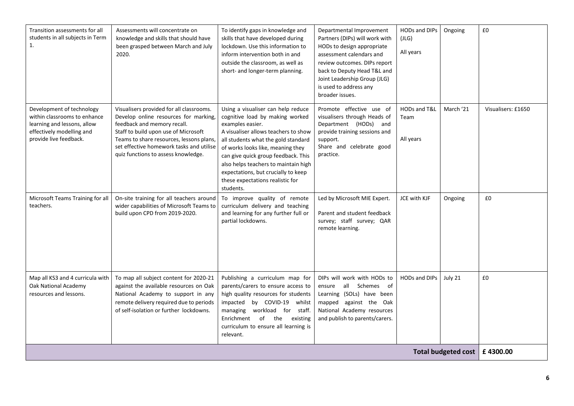| Transition assessments for all<br>students in all subjects in Term<br>1.                                                                        | Assessments will concentrate on<br>knowledge and skills that should have<br>been grasped between March and July<br>2020.                                                                                                                                                                | To identify gaps in knowledge and<br>skills that have developed during<br>lockdown. Use this information to<br>inform intervention both in and<br>outside the classroom, as well as<br>short- and longer-term planning.                                                                                                                                                              | Departmental Improvement<br>Partners (DIPs) will work with<br>HODs to design appropriate<br>assessment calendars and<br>review outcomes. DIPs report<br>back to Deputy Head T&L and<br>Joint Leadership Group (JLG)<br>is used to address any<br>broader issues. | HODs and DIPs<br>(JLG)<br>All years | Ongoing                        | £0                 |
|-------------------------------------------------------------------------------------------------------------------------------------------------|-----------------------------------------------------------------------------------------------------------------------------------------------------------------------------------------------------------------------------------------------------------------------------------------|--------------------------------------------------------------------------------------------------------------------------------------------------------------------------------------------------------------------------------------------------------------------------------------------------------------------------------------------------------------------------------------|------------------------------------------------------------------------------------------------------------------------------------------------------------------------------------------------------------------------------------------------------------------|-------------------------------------|--------------------------------|--------------------|
| Development of technology<br>within classrooms to enhance<br>learning and lessons, allow<br>effectively modelling and<br>provide live feedback. | Visualisers provided for all classrooms.<br>Develop online resources for marking,<br>feedback and memory recall.<br>Staff to build upon use of Microsoft<br>Teams to share resources, lessons plans,<br>set effective homework tasks and utilise<br>quiz functions to assess knowledge. | Using a visualiser can help reduce<br>cognitive load by making worked<br>examples easier.<br>A visualiser allows teachers to show<br>all students what the gold standard<br>of works looks like, meaning they<br>can give quick group feedback. This<br>also helps teachers to maintain high<br>expectations, but crucially to keep<br>these expectations realistic for<br>students. | Promote effective use of<br>visualisers through Heads of<br>Department (HODs) and<br>provide training sessions and<br>support.<br>Share and celebrate good<br>practice.                                                                                          | HODs and T&L<br>Team<br>All years   | March '21                      | Visualisers: £1650 |
| Microsoft Teams Training for all<br>teachers.                                                                                                   | On-site training for all teachers around<br>wider capabilities of Microsoft Teams to<br>build upon CPD from 2019-2020.                                                                                                                                                                  | To improve quality of remote<br>curriculum delivery and teaching<br>and learning for any further full or<br>partial lockdowns.                                                                                                                                                                                                                                                       | Led by Microsoft MIE Expert.<br>Parent and student feedback<br>survey; staff survey; QAR<br>remote learning.                                                                                                                                                     | JCE with KJF                        | Ongoing                        | £0                 |
| Map all KS3 and 4 curricula with<br>Oak National Academy<br>resources and lessons.                                                              | To map all subject content for 2020-21<br>against the available resources on Oak<br>National Academy to support in any<br>remote delivery required due to periods<br>of self-isolation or further lockdowns.                                                                            | Publishing a curriculum map for<br>parents/carers to ensure access to<br>high quality resources for students<br>impacted by COVID-19 whilst<br>managing workload for staff.<br>Enrichment of the existing<br>curriculum to ensure all learning is<br>relevant.                                                                                                                       | DIPs will work with HODs to<br>ensure all Schemes of<br>Learning (SOLs) have been<br>mapped against the Oak<br>National Academy resources<br>and publish to parents/carers.                                                                                      | <b>HODs and DIPs</b>                | July 21                        | £0                 |
|                                                                                                                                                 |                                                                                                                                                                                                                                                                                         |                                                                                                                                                                                                                                                                                                                                                                                      |                                                                                                                                                                                                                                                                  |                                     | Total budgeted cost   £4300.00 |                    |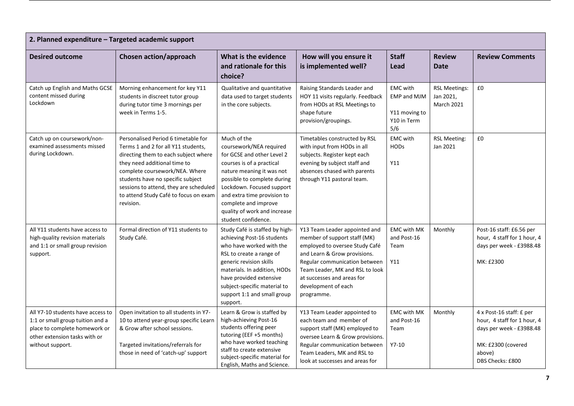| 2. Planned expenditure - Targeted academic support                                                                                                          |                                                                                                                                                                                                                                                                                                                           |                                                                                                                                                                                                                                                                                                          |                                                                                                                                                                                                                                                                        |                                                                              |                                                        |                                                                                                                                         |  |
|-------------------------------------------------------------------------------------------------------------------------------------------------------------|---------------------------------------------------------------------------------------------------------------------------------------------------------------------------------------------------------------------------------------------------------------------------------------------------------------------------|----------------------------------------------------------------------------------------------------------------------------------------------------------------------------------------------------------------------------------------------------------------------------------------------------------|------------------------------------------------------------------------------------------------------------------------------------------------------------------------------------------------------------------------------------------------------------------------|------------------------------------------------------------------------------|--------------------------------------------------------|-----------------------------------------------------------------------------------------------------------------------------------------|--|
| <b>Desired outcome</b>                                                                                                                                      | Chosen action/approach                                                                                                                                                                                                                                                                                                    | What is the evidence<br>and rationale for this<br>choice?                                                                                                                                                                                                                                                | How will you ensure it<br>is implemented well?                                                                                                                                                                                                                         | <b>Staff</b><br>Lead                                                         | <b>Review</b><br><b>Date</b>                           | <b>Review Comments</b>                                                                                                                  |  |
| Catch up English and Maths GCSE<br>content missed during<br>Lockdown                                                                                        | Morning enhancement for key Y11<br>students in discreet tutor group<br>during tutor time 3 mornings per<br>week in Terms 1-5.                                                                                                                                                                                             | Qualitative and quantitative<br>data used to target students<br>in the core subjects.                                                                                                                                                                                                                    | Raising Standards Leader and<br>HOY 11 visits regularly. Feedback<br>from HODs at RSL Meetings to<br>shape future<br>provision/groupings.                                                                                                                              | <b>EMC</b> with<br><b>EMP and MJM</b><br>Y11 moving to<br>Y10 in Term<br>5/6 | <b>RSL Meetings:</b><br>Jan 2021,<br><b>March 2021</b> | £0                                                                                                                                      |  |
| Catch up on coursework/non-<br>examined assessments missed<br>during Lockdown.                                                                              | Personalised Period 6 timetable for<br>Terms 1 and 2 for all Y11 students,<br>directing them to each subject where<br>they need additional time to<br>complete coursework/NEA. Where<br>students have no specific subject<br>sessions to attend, they are scheduled<br>to attend Study Café to focus on exam<br>revision. | Much of the<br>coursework/NEA required<br>for GCSE and other Level 2<br>courses is of a practical<br>nature meaning it was not<br>possible to complete during<br>Lockdown. Focused support<br>and extra time provision to<br>complete and improve<br>quality of work and increase<br>student confidence. | Timetables constructed by RSL<br>with input from HODs in all<br>subjects. Register kept each<br>evening by subject staff and<br>absences chased with parents<br>through Y11 pastoral team.                                                                             | <b>EMC</b> with<br><b>HODs</b><br>Y11                                        | <b>RSL Meeting:</b><br>Jan 2021                        | £0                                                                                                                                      |  |
| All Y11 students have access to<br>high-quality revision materials<br>and 1:1 or small group revision<br>support.                                           | Formal direction of Y11 students to<br>Study Café.                                                                                                                                                                                                                                                                        | Study Café is staffed by high-<br>achieving Post-16 students<br>who have worked with the<br>RSL to create a range of<br>generic revision skills<br>materials. In addition, HODs<br>have provided extensive<br>subject-specific material to<br>support 1:1 and small group<br>support.                    | Y13 Team Leader appointed and<br>member of support staff (MK)<br>employed to oversee Study Café<br>and Learn & Grow provisions.<br>Regular communication between<br>Team Leader, MK and RSL to look<br>at successes and areas for<br>development of each<br>programme. | <b>EMC with MK</b><br>and Post-16<br>Team<br>Y11                             | Monthly                                                | Post-16 staff: £6.56 per<br>hour, 4 staff for 1 hour, 4<br>days per week - £3988.48<br>MK: £2300                                        |  |
| All Y7-10 students have access to<br>1:1 or small group tuition and a<br>place to complete homework or<br>other extension tasks with or<br>without support. | Open invitation to all students in Y7-<br>10 to attend year-group specific Learn<br>& Grow after school sessions.<br>Targeted invitations/referrals for<br>those in need of 'catch-up' support                                                                                                                            | Learn & Grow is staffed by<br>high-achieving Post-16<br>students offering peer<br>tutoring (EEF +5 months)<br>who have worked teaching<br>staff to create extensive<br>subject-specific material for<br>English, Maths and Science.                                                                      | Y13 Team Leader appointed to<br>each team and member of<br>support staff (MK) employed to<br>oversee Learn & Grow provisions.<br>Regular communication between<br>Team Leaders, MK and RSL to<br>look at successes and areas for                                       | <b>EMC with MK</b><br>and Post-16<br>Team<br>$Y7-10$                         | Monthly                                                | 4 x Post-16 staff: £ per<br>hour, 4 staff for 1 hour, 4<br>days per week - £3988.48<br>MK: £2300 (covered<br>above)<br>DBS Checks: £800 |  |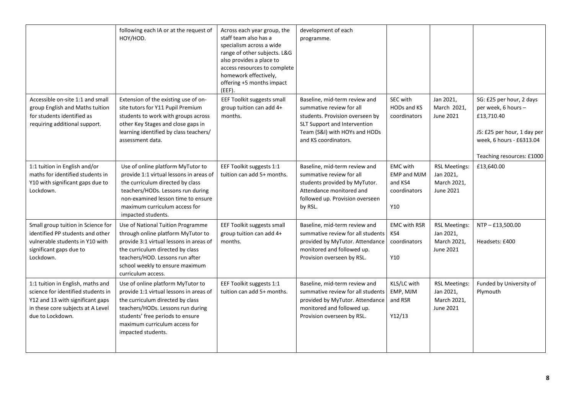|                                                                                                                                                                      | following each IA or at the request of<br>HOY/HOD.                                                                                                                                                                                                 | Across each year group, the<br>staff team also has a<br>specialism across a wide<br>range of other subjects. L&G<br>also provides a place to<br>access resources to complete<br>homework effectively,<br>offering +5 months impact<br>$(EEF)$ . | development of each<br>programme.                                                                                                                                                     |                                                                         |                                                               |                                                                                                                                                       |
|----------------------------------------------------------------------------------------------------------------------------------------------------------------------|----------------------------------------------------------------------------------------------------------------------------------------------------------------------------------------------------------------------------------------------------|-------------------------------------------------------------------------------------------------------------------------------------------------------------------------------------------------------------------------------------------------|---------------------------------------------------------------------------------------------------------------------------------------------------------------------------------------|-------------------------------------------------------------------------|---------------------------------------------------------------|-------------------------------------------------------------------------------------------------------------------------------------------------------|
| Accessible on-site 1:1 and small<br>group English and Maths tuition<br>for students identified as<br>requiring additional support.                                   | Extension of the existing use of on-<br>site tutors for Y11 Pupil Premium<br>students to work with groups across<br>other Key Stages and close gaps in<br>learning identified by class teachers/<br>assessment data.                               | EEF Toolkit suggests small<br>group tuition can add 4+<br>months.                                                                                                                                                                               | Baseline, mid-term review and<br>summative review for all<br>students. Provision overseen by<br>SLT Support and Intervention<br>Team (S&I) with HOYs and HODs<br>and KS coordinators. | SEC with<br>HODs and KS<br>coordinators                                 | Jan 2021,<br>March 2021,<br>June 2021                         | SG: £25 per hour, 2 days<br>per week, 6 hours -<br>£13,710.40<br>JS: £25 per hour, 1 day per<br>week, 6 hours - £6313.04<br>Teaching resources: £1000 |
| 1:1 tuition in English and/or<br>maths for identified students in<br>Y10 with significant gaps due to<br>Lockdown.                                                   | Use of online platform MyTutor to<br>provide 1:1 virtual lessons in areas of<br>the curriculum directed by class<br>teachers/HODs. Lessons run during<br>non-examined lesson time to ensure<br>maximum curriculum access for<br>impacted students. | EEF Toolkit suggests 1:1<br>tuition can add 5+ months.                                                                                                                                                                                          | Baseline, mid-term review and<br>summative review for all<br>students provided by MyTutor.<br>Attendance monitored and<br>followed up. Provision overseen<br>by RSL.                  | <b>EMC</b> with<br><b>EMP and MJM</b><br>and KS4<br>coordinators<br>Y10 | <b>RSL Meetings:</b><br>Jan 2021,<br>March 2021,<br>June 2021 | £13,640.00                                                                                                                                            |
| Small group tuition in Science for<br>identified PP students and other<br>vulnerable students in Y10 with<br>significant gaps due to<br>Lockdown.                    | Use of National Tuition Programme<br>through online platform MyTutor to<br>provide 3:1 virtual lessons in areas of<br>the curriculum directed by class<br>teachers/HOD. Lessons run after<br>school weekly to ensure maximum<br>curriculum access. | EEF Toolkit suggests small<br>group tuition can add 4+<br>months.                                                                                                                                                                               | Baseline, mid-term review and<br>summative review for all students<br>provided by MyTutor. Attendance<br>monitored and followed up.<br>Provision overseen by RSL.                     | <b>EMC with RSR</b><br>KS4<br>coordinators<br>Y10                       | <b>RSL Meetings:</b><br>Jan 2021,<br>March 2021,<br>June 2021 | NTP-£13,500.00<br>Headsets: £400                                                                                                                      |
| 1:1 tuition in English, maths and<br>science for identified students in<br>Y12 and 13 with significant gaps<br>in these core subjects at A Level<br>due to Lockdown. | Use of online platform MyTutor to<br>provide 1:1 virtual lessons in areas of<br>the curriculum directed by class<br>teachers/HODs. Lessons run during<br>students' free periods to ensure<br>maximum curriculum access for<br>impacted students.   | EEF Toolkit suggests 1:1<br>tuition can add 5+ months.                                                                                                                                                                                          | Baseline, mid-term review and<br>summative review for all students<br>provided by MyTutor. Attendance<br>monitored and followed up.<br>Provision overseen by RSL.                     | KLS/LC with<br>EMP, MJM<br>and RSR<br>Y12/13                            | <b>RSL Meetings:</b><br>Jan 2021,<br>March 2021,<br>June 2021 | Funded by University of<br>Plymouth                                                                                                                   |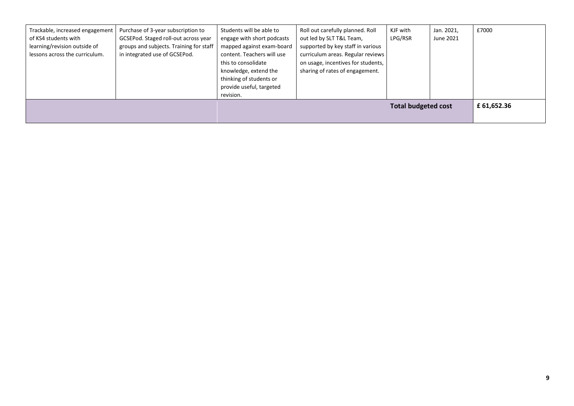| Trackable, increased engagement<br>of KS4 students with<br>learning/revision outside of<br>lessons across the curriculum. | Purchase of 3-year subscription to<br>GCSEPod. Staged roll-out across year<br>groups and subjects. Training for staff<br>in integrated use of GCSEPod. | Students will be able to<br>engage with short podcasts<br>mapped against exam-board<br>content. Teachers will use<br>this to consolidate<br>knowledge, extend the<br>thinking of students or<br>provide useful, targeted<br>revision. | Roll out carefully planned. Roll<br>out led by SLT T&L Team,<br>supported by key staff in various<br>curriculum areas. Regular reviews<br>on usage, incentives for students,<br>sharing of rates of engagement. | KJF with<br>LPG/RSR | Jan. 2021,<br>June 2021 | £7000 |
|---------------------------------------------------------------------------------------------------------------------------|--------------------------------------------------------------------------------------------------------------------------------------------------------|---------------------------------------------------------------------------------------------------------------------------------------------------------------------------------------------------------------------------------------|-----------------------------------------------------------------------------------------------------------------------------------------------------------------------------------------------------------------|---------------------|-------------------------|-------|
| <b>Total budgeted cost</b>                                                                                                |                                                                                                                                                        |                                                                                                                                                                                                                                       |                                                                                                                                                                                                                 |                     |                         |       |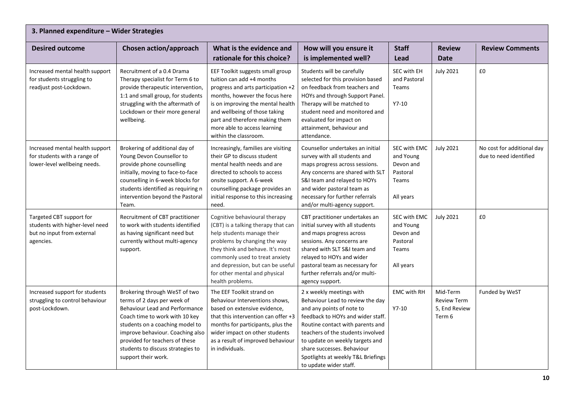| 3. Planned expenditure - Wider Strategies                                                              |                                                                                                                                                                                                                                                                                                              |                                                                                                                                                                                                                                                                                                        |                                                                                                                                                                                                                                                                                                                                          |                                                                                 |                                                    |                                                      |  |  |
|--------------------------------------------------------------------------------------------------------|--------------------------------------------------------------------------------------------------------------------------------------------------------------------------------------------------------------------------------------------------------------------------------------------------------------|--------------------------------------------------------------------------------------------------------------------------------------------------------------------------------------------------------------------------------------------------------------------------------------------------------|------------------------------------------------------------------------------------------------------------------------------------------------------------------------------------------------------------------------------------------------------------------------------------------------------------------------------------------|---------------------------------------------------------------------------------|----------------------------------------------------|------------------------------------------------------|--|--|
| <b>Desired outcome</b>                                                                                 | <b>Chosen action/approach</b>                                                                                                                                                                                                                                                                                | What is the evidence and<br>rationale for this choice?                                                                                                                                                                                                                                                 | How will you ensure it<br>is implemented well?                                                                                                                                                                                                                                                                                           | <b>Staff</b><br>Lead                                                            | <b>Review</b><br><b>Date</b>                       | <b>Review Comments</b>                               |  |  |
| Increased mental health support<br>for students struggling to<br>readjust post-Lockdown.               | Recruitment of a 0.4 Drama<br>Therapy specialist for Term 6 to<br>provide therapeutic intervention,<br>1:1 and small group, for students<br>struggling with the aftermath of<br>Lockdown or their more general<br>wellbeing.                                                                                 | EEF Toolkit suggests small group<br>tuition can add +4 months<br>progress and arts participation +2<br>months, however the focus here<br>is on improving the mental health<br>and wellbeing of those taking<br>part and therefore making them<br>more able to access learning<br>within the classroom. | Students will be carefully<br>selected for this provision based<br>on feedback from teachers and<br>HOYs and through Support Panel.<br>Therapy will be matched to<br>student need and monitored and<br>evaluated for impact on<br>attainment, behaviour and<br>attendance.                                                               | SEC with EH<br>and Pastoral<br>Teams<br>$Y7-10$                                 | <b>July 2021</b>                                   | £0                                                   |  |  |
| Increased mental health support<br>for students with a range of<br>lower-level wellbeing needs.        | Brokering of additional day of<br>Young Devon Counsellor to<br>provide phone counselling<br>initially, moving to face-to-face<br>counselling in 6-week blocks for<br>students identified as requiring n<br>intervention beyond the Pastoral<br>Team.                                                         | Increasingly, families are visiting<br>their GP to discuss student<br>mental health needs and are<br>directed to schools to access<br>onsite support. A 6-week<br>counselling package provides an<br>initial response to this increasing<br>need.                                                      | Counsellor undertakes an initial<br>survey with all students and<br>maps progress across sessions.<br>Any concerns are shared with SLT<br>S&I team and relayed to HOYs<br>and wider pastoral team as<br>necessary for further referrals<br>and/or multi-agency support.                                                                  | SEC with EMC<br>and Young<br>Devon and<br>Pastoral<br>Teams<br>All years        | <b>July 2021</b>                                   | No cost for additional day<br>due to need identified |  |  |
| Targeted CBT support for<br>students with higher-level need<br>but no input from external<br>agencies. | Recruitment of CBT practitioner<br>to work with students identified<br>as having significant need but<br>currently without multi-agency<br>support.                                                                                                                                                          | Cognitive behavioural therapy<br>(CBT) is a talking therapy that can<br>help students manage their<br>problems by changing the way<br>they think and behave. It's most<br>commonly used to treat anxiety<br>and depression, but can be useful<br>for other mental and physical<br>health problems.     | CBT practitioner undertakes an<br>initial survey with all students<br>and maps progress across<br>sessions. Any concerns are<br>shared with SLT S&I team and<br>relayed to HOYs and wider<br>pastoral team as necessary for<br>further referrals and/or multi-<br>agency support.                                                        | SEC with EMC<br>and Young<br>Devon and<br>Pastoral<br><b>Teams</b><br>All years | <b>July 2021</b>                                   | £0                                                   |  |  |
| Increased support for students<br>struggling to control behaviour<br>post-Lockdown.                    | Brokering through WeST of two<br>terms of 2 days per week of<br><b>Behaviour Lead and Performance</b><br>Coach time to work with 10 key<br>students on a coaching model to<br>improve behaviour. Coaching also<br>provided for teachers of these<br>students to discuss strategies to<br>support their work. | The EEF Toolkit strand on<br>Behaviour Interventions shows,<br>based on extensive evidence,<br>that this intervention can offer +3<br>months for participants, plus the<br>wider impact on other students<br>as a result of improved behaviour<br>in individuals.                                      | 2 x weekly meetings with<br>Behaviour Lead to review the day<br>and any points of note to<br>feedback to HOYs and wider staff.<br>Routine contact with parents and<br>teachers of the students involved<br>to update on weekly targets and<br>share successes. Behaviour<br>Spotlights at weekly T&L Briefings<br>to update wider staff. | <b>EMC with RH</b><br>$Y7-10$                                                   | Mid-Term<br>Review Term<br>5, End Review<br>Term 6 | Funded by WeST                                       |  |  |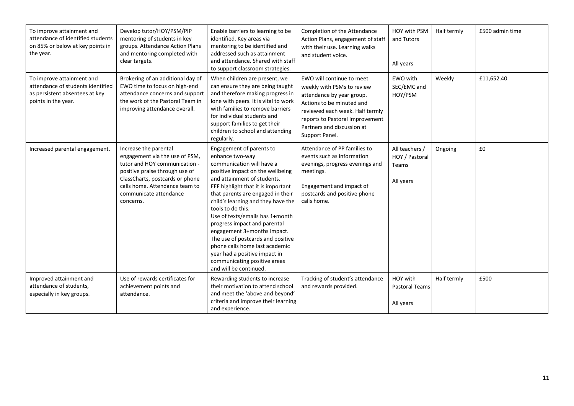| To improve attainment and<br>attendance of identified students<br>on 85% or below at key points in<br>the year.         | Develop tutor/HOY/PSM/PIP<br>mentoring of students in key<br>groups. Attendance Action Plans<br>and mentoring completed with<br>clear targets.                                                                                         | Enable barriers to learning to be<br>identified. Key areas via<br>mentoring to be identified and<br>addressed such as attainment<br>and attendance. Shared with staff<br>to support classroom strategies.                                                                                                                                                                                                                                                                                                                                             | Completion of the Attendance<br>Action Plans, engagement of staff<br>with their use. Learning walks<br>and student voice.                                                                                                               | HOY with PSM<br>and Tutors<br>All years                | Half termly | £500 admin time |
|-------------------------------------------------------------------------------------------------------------------------|----------------------------------------------------------------------------------------------------------------------------------------------------------------------------------------------------------------------------------------|-------------------------------------------------------------------------------------------------------------------------------------------------------------------------------------------------------------------------------------------------------------------------------------------------------------------------------------------------------------------------------------------------------------------------------------------------------------------------------------------------------------------------------------------------------|-----------------------------------------------------------------------------------------------------------------------------------------------------------------------------------------------------------------------------------------|--------------------------------------------------------|-------------|-----------------|
| To improve attainment and<br>attendance of students identified<br>as persistent absentees at key<br>points in the year. | Brokering of an additional day of<br>EWO time to focus on high-end<br>attendance concerns and support<br>the work of the Pastoral Team in<br>improving attendance overall.                                                             | When children are present, we<br>can ensure they are being taught<br>and therefore making progress in<br>lone with peers. It is vital to work<br>with families to remove barriers<br>for individual students and<br>support families to get their<br>children to school and attending<br>regularly.                                                                                                                                                                                                                                                   | EWO will continue to meet<br>weekly with PSMs to review<br>attendance by year group.<br>Actions to be minuted and<br>reviewed each week. Half termly<br>reports to Pastoral Improvement<br>Partners and discussion at<br>Support Panel. | EWO with<br>SEC/EMC and<br>HOY/PSM                     | Weekly      | £11,652.40      |
| Increased parental engagement.                                                                                          | Increase the parental<br>engagement via the use of PSM,<br>tutor and HOY communication -<br>positive praise through use of<br>ClassCharts, postcards or phone<br>calls home. Attendance team to<br>communicate attendance<br>concerns. | Engagement of parents to<br>enhance two-way<br>communication will have a<br>positive impact on the wellbeing<br>and attainment of students.<br>EEF highlight that it is important<br>that parents are engaged in their<br>child's learning and they have the<br>tools to do this.<br>Use of texts/emails has 1+month<br>progress impact and parental<br>engagement 3+months impact.<br>The use of postcards and positive<br>phone calls home last academic<br>year had a positive impact in<br>communicating positive areas<br>and will be continued. | Attendance of PP families to<br>events such as information<br>evenings, progress evenings and<br>meetings.<br>Engagement and impact of<br>postcards and positive phone<br>calls home.                                                   | All teachers /<br>HOY / Pastoral<br>Teams<br>All years | Ongoing     | £0              |
| Improved attainment and<br>attendance of students,<br>especially in key groups.                                         | Use of rewards certificates for<br>achievement points and<br>attendance.                                                                                                                                                               | Rewarding students to increase<br>their motivation to attend school<br>and meet the 'above and beyond'<br>criteria and improve their learning<br>and experience.                                                                                                                                                                                                                                                                                                                                                                                      | Tracking of student's attendance<br>and rewards provided.                                                                                                                                                                               | HOY with<br><b>Pastoral Teams</b><br>All years         | Half termly | £500            |